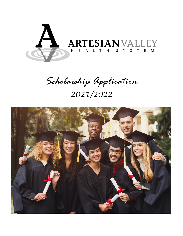

# *Scholarship Application 2021/2022*

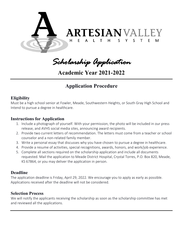

*Scholarship Application* 

**Academic Year 2021-2022**

# **Application Procedure**

### **Eligibility**

Must be a high school senior at Fowler, Meade, Southwestern Heights, or South Gray High School and Intend to pursue a degree in healthcare.

### **Instructions for Application**

- 1. Include a photograph of yourself. With your permission, the photo will be included in our press release, and AVHS social media sites, announcing award recipients.
- 2. Provide two current letters of recommendation. The letters must come from a teacher or school counselor and a non-related family member.
- 3. Write a personal essay that discusses why you have chosen to pursue a degree in healthcare.
- 4. Provide a resume of activities, special recognitions, awards, honors, and work/job experience.
- 5. Complete all sections required on the scholarship application and include all documents requested. Mail the application to Meade District Hospital, Crystal Torres, P.O. Box 820, Meade, KS 67864, or you may deliver the application in person.

#### **Deadline**

The application deadline is Friday, April 29, 2022. We encourage you to apply as early as possible. Applications received after the deadline will not be considered.

#### **Selection Process**

We will notify the applicants receiving the scholarship as soon as the scholarship committee has met and reviewed all the applications.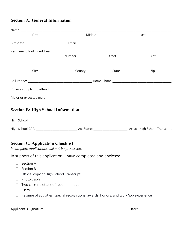## **Section A: General Information**

| First                                                                                                                    | Middle |        | Last |  |
|--------------------------------------------------------------------------------------------------------------------------|--------|--------|------|--|
|                                                                                                                          |        |        |      |  |
| Permanent Mailing Address: Management of the Address of Theorem and The Address of The Address of the Address            |        |        |      |  |
|                                                                                                                          | Number | Street | Apt. |  |
| City                                                                                                                     | County | State  | Zip  |  |
|                                                                                                                          |        |        |      |  |
|                                                                                                                          |        |        |      |  |
|                                                                                                                          |        |        |      |  |
| <b>Section B: High School Information</b>                                                                                |        |        |      |  |
|                                                                                                                          |        |        |      |  |
| <b>Section C: Application Checklist</b><br>Incomplete applications will not be processed.                                |        |        |      |  |
| In support of this application, I have completed and enclosed:                                                           |        |        |      |  |
| Section A<br>Section B<br>Official copy of High School Transcript<br>Photograph<br>Two current letters of recommendation |        |        |      |  |

- $\Box$  Essay
- $\Box$  Resume of activities, special recognitions, awards, honors, and work/job experience

Applicant's Signature: \_\_\_\_\_\_\_\_\_\_\_\_\_\_\_\_\_\_\_\_\_\_\_\_\_\_\_\_\_\_\_\_\_\_\_\_\_\_\_\_\_\_\_ Date: \_\_\_\_\_\_\_\_\_\_\_\_\_\_\_\_\_